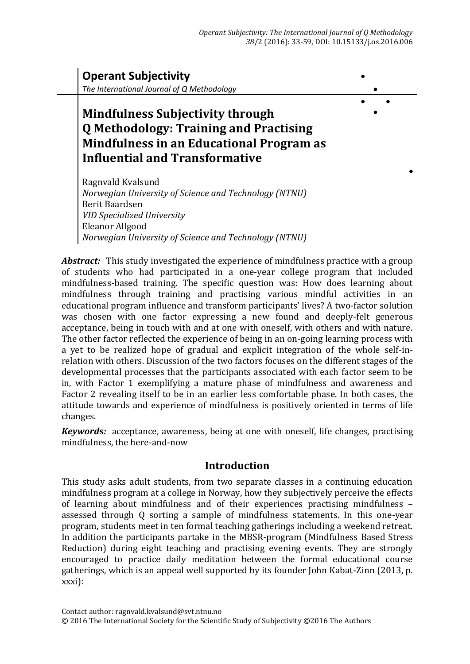

*Norwegian University of Science and Technology (NTNU)*

*Abstract:*This study investigated the experience of mindfulness practice with a group of students who had participated in a one-year college program that included mindfulness-based training. The specific question was: How does learning about mindfulness through training and practising various mindful activities in an educational program influence and transform participants' lives? A two-factor solution was chosen with one factor expressing a new found and deeply-felt generous acceptance, being in touch with and at one with oneself, with others and with nature. The other factor reflected the experience of being in an on-going learning process with a yet to be realized hope of gradual and explicit integration of the whole self-inrelation with others. Discussion of the two factors focuses on the different stages of the developmental processes that the participants associated with each factor seem to be in, with Factor 1 exemplifying a mature phase of mindfulness and awareness and Factor 2 revealing itself to be in an earlier less comfortable phase. In both cases, the attitude towards and experience of mindfulness is positively oriented in terms of life changes.

*Keyword***s***:* acceptance, awareness, being at one with oneself, life changes, practising mindfulness, the here-and-now

# **Introduction**

This study asks adult students, from two separate classes in a continuing education mindfulness program at a college in Norway, how they subjectively perceive the effects of learning about mindfulness and of their experiences practising mindfulness – assessed through Q sorting a sample of mindfulness statements. In this one-year program, students meet in ten formal teaching gatherings including a weekend retreat. In addition the participants partake in the MBSR-program (Mindfulness Based Stress Reduction) during eight teaching and practising evening events. They are strongly encouraged to practice daily meditation between the formal educational course gatherings, which is an appeal well supported by its founder John Kabat-Zinn (2013, p. xxxi):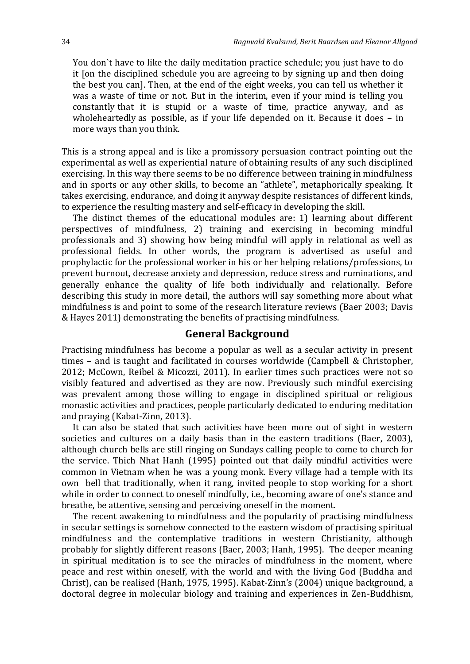You don`t have to like the daily meditation practice schedule; you just have to do it [on the disciplined schedule you are agreeing to by signing up and then doing the best you can]. Then, at the end of the eight weeks, you can tell us whether it was a waste of time or not. But in the interim, even if your mind is telling you constantly that it is stupid or a waste of time, practice anyway, and as wholeheartedly as possible, as if your life depended on it. Because it does – in more ways than you think.

This is a strong appeal and is like a promissory persuasion contract pointing out the experimental as well as experiential nature of obtaining results of any such disciplined exercising. In this way there seems to be no difference between training in mindfulness and in sports or any other skills, to become an "athlete", metaphorically speaking. It takes exercising, endurance, and doing it anyway despite resistances of different kinds, to experience the resulting mastery and self-efficacy in developing the skill.

The distinct themes of the educational modules are: 1) learning about different perspectives of mindfulness, 2) training and exercising in becoming mindful professionals and 3) showing how being mindful will apply in relational as well as professional fields. In other words, the program is advertised as useful and prophylactic for the professional worker in his or her helping relations/professions, to prevent burnout, decrease anxiety and depression, reduce stress and ruminations, and generally enhance the quality of life both individually and relationally. Before describing this study in more detail, the authors will say something more about what mindfulness is and point to some of the research literature reviews (Baer 2003; Davis & Hayes 2011) demonstrating the benefits of practising mindfulness.

# **General Background**

Practising mindfulness has become a popular as well as a secular activity in present times – and is taught and facilitated in courses worldwide (Campbell & Christopher, 2012; McCown, Reibel & Micozzi, 2011). In earlier times such practices were not so visibly featured and advertised as they are now. Previously such mindful exercising was prevalent among those willing to engage in disciplined spiritual or religious monastic activities and practices, people particularly dedicated to enduring meditation and praying (Kabat-Zinn, 2013).

It can also be stated that such activities have been more out of sight in western societies and cultures on a daily basis than in the eastern traditions (Baer, 2003), although church bells are still ringing on Sundays calling people to come to church for the service. Thich Nhat Hanh (1995) pointed out that daily mindful activities were common in Vietnam when he was a young monk. Every village had a temple with its own bell that traditionally, when it rang, invited people to stop working for a short while in order to connect to oneself mindfully, i.e., becoming aware of one's stance and breathe, be attentive, sensing and perceiving oneself in the moment.

The recent awakening to mindfulness and the popularity of practising mindfulness in secular settings is somehow connected to the eastern wisdom of practising spiritual mindfulness and the contemplative traditions in western Christianity, although probably for slightly different reasons (Baer, 2003; Hanh, 1995). The deeper meaning in spiritual meditation is to see the miracles of mindfulness in the moment, where peace and rest within oneself, with the world and with the living God (Buddha and Christ), can be realised (Hanh, 1975, 1995). Kabat-Zinn's (2004) unique background, a doctoral degree in molecular biology and training and experiences in Zen-Buddhism,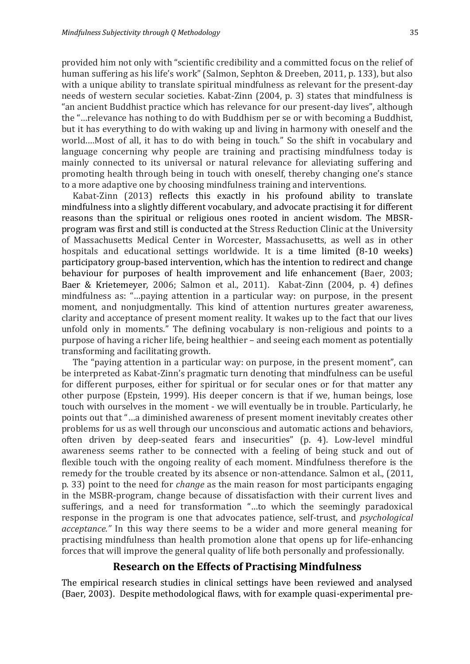provided him not only with "scientific credibility and a committed focus on the relief of human suffering as his life's work" (Salmon, Sephton & Dreeben, 2011, p. 133), but also with a unique ability to translate spiritual mindfulness as relevant for the present-day needs of western secular societies. Kabat-Zinn (2004, p. 3) states that mindfulness is "an ancient Buddhist practice which has relevance for our present-day lives", although the "…relevance has nothing to do with Buddhism per se or with becoming a Buddhist, but it has everything to do with waking up and living in harmony with oneself and the world.…Most of all, it has to do with being in touch." So the shift in vocabulary and language concerning why people are training and practising mindfulness today is mainly connected to its universal or natural relevance for alleviating suffering and promoting health through being in touch with oneself, thereby changing one's stance to a more adaptive one by choosing mindfulness training and interventions.

Kabat-Zinn (2013) reflects this exactly in his profound ability to translate mindfulness into a slightly different vocabulary, and advocate practising it for different reasons than the spiritual or religious ones rooted in ancient wisdom. The MBSRprogram was first and still is conducted at the Stress Reduction Clinic at the University of Massachusetts Medical Center in Worcester, Massachusetts, as well as in other hospitals and educational settings worldwide. It is a time limited (8-10 weeks) participatory group-based intervention, which has the intention to redirect and change behaviour for purposes of health improvement and life enhancement (Baer, 2003; Baer & Krietemeyer, 2006; Salmon et al., 2011). Kabat-Zinn (2004, p. 4) defines mindfulness as: "…paying attention in a particular way: on purpose, in the present moment, and nonjudgmentally. This kind of attention nurtures greater awareness, clarity and acceptance of present moment reality. It wakes up to the fact that our lives unfold only in moments." The defining vocabulary is non-religious and points to a purpose of having a richer life, being healthier – and seeing each moment as potentially transforming and facilitating growth.

The "paying attention in a particular way: on purpose, in the present moment", can be interpreted as Kabat-Zinn's pragmatic turn denoting that mindfulness can be useful for different purposes, either for spiritual or for secular ones or for that matter any other purpose (Epstein, 1999). His deeper concern is that if we, human beings, lose touch with ourselves in the moment - we will eventually be in trouble. Particularly, he points out that "…a diminished awareness of present moment inevitably creates other problems for us as well through our unconscious and automatic actions and behaviors, often driven by deep-seated fears and insecurities" (p. 4). Low-level mindful awareness seems rather to be connected with a feeling of being stuck and out of flexible touch with the ongoing reality of each moment. Mindfulness therefore is the remedy for the trouble created by its absence or non-attendance. Salmon et al., (2011, p. 33) point to the need for *change* as the main reason for most participants engaging in the MSBR-program, change because of dissatisfaction with their current lives and sufferings, and a need for transformation "…to which the seemingly paradoxical response in the program is one that advocates patience, self-trust, and *psychological acceptance."* In this way there seems to be a wider and more general meaning for practising mindfulness than health promotion alone that opens up for life-enhancing forces that will improve the general quality of life both personally and professionally.

# **Research on the Effects of Practising Mindfulness**

The empirical research studies in clinical settings have been reviewed and analysed (Baer, 2003). Despite methodological flaws, with for example quasi-experimental pre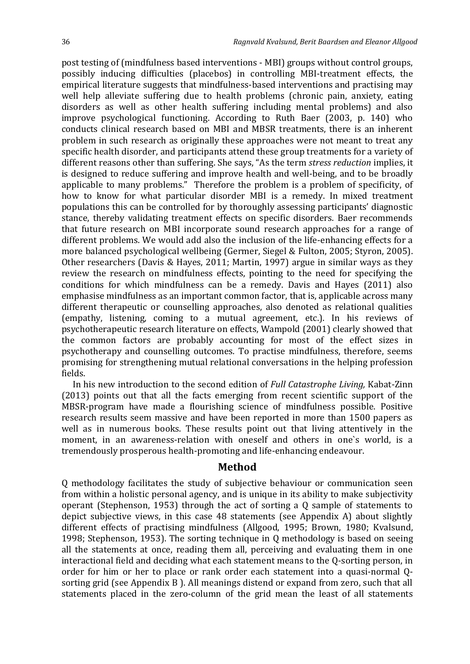post testing of (mindfulness based interventions - MBI) groups without control groups, possibly inducing difficulties (placebos) in controlling MBI-treatment effects, the empirical literature suggests that mindfulness-based interventions and practising may well help alleviate suffering due to health problems (chronic pain, anxiety, eating disorders as well as other health suffering including mental problems) and also improve psychological functioning. According to Ruth Baer (2003, p. 140) who conducts clinical research based on MBI and MBSR treatments, there is an inherent problem in such research as originally these approaches were not meant to treat any specific health disorder, and participants attend these group treatments for a variety of different reasons other than suffering. She says, "As the term *stress reduction* implies, it is designed to reduce suffering and improve health and well-being, and to be broadly applicable to many problems." Therefore the problem is a problem of specificity, of how to know for what particular disorder MBI is a remedy. In mixed treatment populations this can be controlled for by thoroughly assessing participants' diagnostic stance, thereby validating treatment effects on specific disorders. Baer recommends that future research on MBI incorporate sound research approaches for a range of different problems. We would add also the inclusion of the life-enhancing effects for a more balanced psychological wellbeing (Germer, Siegel & Fulton, 2005; Styron, 2005). Other researchers (Davis & Hayes, 2011; Martin, 1997) argue in similar ways as they review the research on mindfulness effects, pointing to the need for specifying the conditions for which mindfulness can be a remedy. Davis and Hayes (2011) also emphasise mindfulness as an important common factor, that is, applicable across many different therapeutic or counselling approaches, also denoted as relational qualities (empathy, listening, coming to a mutual agreement, etc.). In his reviews of psychotherapeutic research literature on effects, Wampold (2001) clearly showed that the common factors are probably accounting for most of the effect sizes in psychotherapy and counselling outcomes. To practise mindfulness, therefore, seems promising for strengthening mutual relational conversations in the helping profession fields.

In his new introduction to the second edition of *Full Catastrophe Living,* Kabat-Zinn (2013) points out that all the facts emerging from recent scientific support of the MBSR-program have made a flourishing science of mindfulness possible. Positive research results seem massive and have been reported in more than 1500 papers as well as in numerous books. These results point out that living attentively in the moment, in an awareness-relation with oneself and others in one`s world, is a tremendously prosperous health-promoting and life-enhancing endeavour.

#### **Method**

Q methodology facilitates the study of subjective behaviour or communication seen from within a holistic personal agency, and is unique in its ability to make subjectivity operant (Stephenson, 1953) through the act of sorting a Q sample of statements to depict subjective views, in this case 48 statements (see Appendix A) about slightly different effects of practising mindfulness (Allgood, 1995; Brown, 1980; Kvalsund, 1998; Stephenson, 1953). The sorting technique in Q methodology is based on seeing all the statements at once, reading them all, perceiving and evaluating them in one interactional field and deciding what each statement means to the Q-sorting person, in order for him or her to place or rank order each statement into a quasi-normal Qsorting grid (see Appendix B ). All meanings distend or expand from zero, such that all statements placed in the zero-column of the grid mean the least of all statements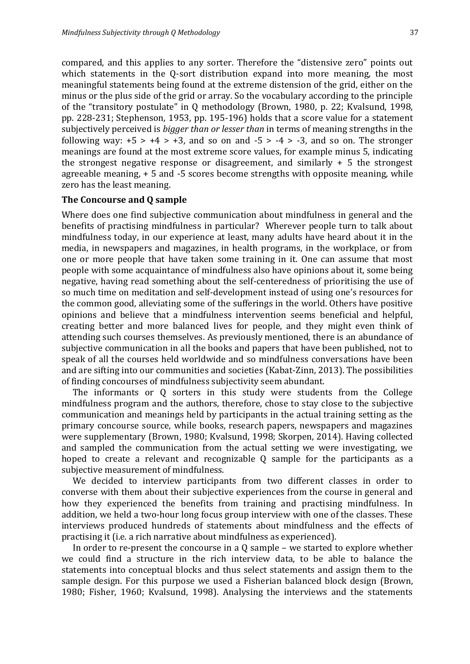compared, and this applies to any sorter. Therefore the "distensive zero" points out which statements in the Q-sort distribution expand into more meaning, the most meaningful statements being found at the extreme distension of the grid, either on the minus or the plus side of the grid or array. So the vocabulary according to the principle of the "transitory postulate" in Q methodology (Brown, 1980, p. 22; Kvalsund, 1998, pp. 228-231; Stephenson, 1953, pp. 195-196) holds that a score value for a statement subjectively perceived is *bigger than or lesser than* in terms of meaning strengths in the following way:  $+5 > +4 > +3$ , and so on and  $-5 > -4 > -3$ , and so on. The stronger meanings are found at the most extreme score values, for example minus 5, indicating the strongest negative response or disagreement, and similarly  $+5$  the strongest agreeable meaning, + 5 and -5 scores become strengths with opposite meaning, while zero has the least meaning.

#### **The Concourse and Q sample**

Where does one find subjective communication about mindfulness in general and the benefits of practising mindfulness in particular? Wherever people turn to talk about mindfulness today, in our experience at least, many adults have heard about it in the media, in newspapers and magazines, in health programs, in the workplace, or from one or more people that have taken some training in it. One can assume that most people with some acquaintance of mindfulness also have opinions about it, some being negative, having read something about the self-centeredness of prioritising the use of so much time on meditation and self-development instead of using one's resources for the common good, alleviating some of the sufferings in the world. Others have positive opinions and believe that a mindfulness intervention seems beneficial and helpful, creating better and more balanced lives for people, and they might even think of attending such courses themselves. As previously mentioned, there is an abundance of subjective communication in all the books and papers that have been published, not to speak of all the courses held worldwide and so mindfulness conversations have been and are sifting into our communities and societies (Kabat-Zinn, 2013). The possibilities of finding concourses of mindfulness subjectivity seem abundant.

The informants or Q sorters in this study were students from the College mindfulness program and the authors, therefore, chose to stay close to the subjective communication and meanings held by participants in the actual training setting as the primary concourse source, while books, research papers, newspapers and magazines were supplementary (Brown, 1980; Kvalsund, 1998; Skorpen, 2014). Having collected and sampled the communication from the actual setting we were investigating, we hoped to create a relevant and recognizable Q sample for the participants as a subjective measurement of mindfulness.

We decided to interview participants from two different classes in order to converse with them about their subjective experiences from the course in general and how they experienced the benefits from training and practising mindfulness. In addition, we held a two-hour long focus group interview with one of the classes. These interviews produced hundreds of statements about mindfulness and the effects of practising it (i.e. a rich narrative about mindfulness as experienced).

In order to re-present the concourse in a Q sample – we started to explore whether we could find a structure in the rich interview data, to be able to balance the statements into conceptual blocks and thus select statements and assign them to the sample design. For this purpose we used a Fisherian balanced block design (Brown, 1980; Fisher, 1960; Kvalsund, 1998). Analysing the interviews and the statements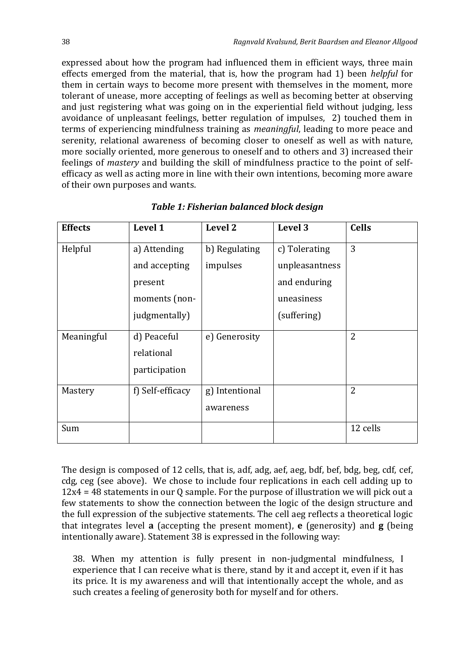expressed about how the program had influenced them in efficient ways, three main effects emerged from the material, that is, how the program had 1) been *helpful* for them in certain ways to become more present with themselves in the moment, more tolerant of unease, more accepting of feelings as well as becoming better at observing and just registering what was going on in the experiential field without judging, less avoidance of unpleasant feelings, better regulation of impulses, 2) touched them in terms of experiencing mindfulness training as *meaningful*, leading to more peace and serenity, relational awareness of becoming closer to oneself as well as with nature, more socially oriented, more generous to oneself and to others and 3) increased their feelings of *mastery* and building the skill of mindfulness practice to the point of selfefficacy as well as acting more in line with their own intentions, becoming more aware of their own purposes and wants.

| <b>Effects</b> | Level 1          | Level 2        | Level 3        | <b>Cells</b>   |
|----------------|------------------|----------------|----------------|----------------|
| Helpful        | a) Attending     | b) Regulating  | c) Tolerating  | 3              |
|                | and accepting    | impulses       | unpleasantness |                |
|                | present          |                | and enduring   |                |
|                | moments (non-    |                | uneasiness     |                |
|                | judgmentally)    |                | (suffering)    |                |
| Meaningful     | d) Peaceful      | e) Generosity  |                | $\overline{2}$ |
|                | relational       |                |                |                |
|                | participation    |                |                |                |
| Mastery        | f) Self-efficacy | g) Intentional |                | $\overline{2}$ |
|                |                  | awareness      |                |                |
| Sum            |                  |                |                | 12 cells       |

*Table 1: Fisherian balanced block design*

The design is composed of 12 cells, that is, adf, adg, aef, aeg, bdf, bef, bdg, beg, cdf, cef, cdg, ceg (see above). We chose to include four replications in each cell adding up to 12x4 = 48 statements in our Q sample. For the purpose of illustration we will pick out a few statements to show the connection between the logic of the design structure and the full expression of the subjective statements. The cell aeg reflects a theoretical logic that integrates level **a** (accepting the present moment), **e** (generosity) and **g** (being intentionally aware). Statement 38 is expressed in the following way:

38. When my attention is fully present in non-judgmental mindfulness, I experience that I can receive what is there, stand by it and accept it, even if it has its price. It is my awareness and will that intentionally accept the whole, and as such creates a feeling of generosity both for myself and for others.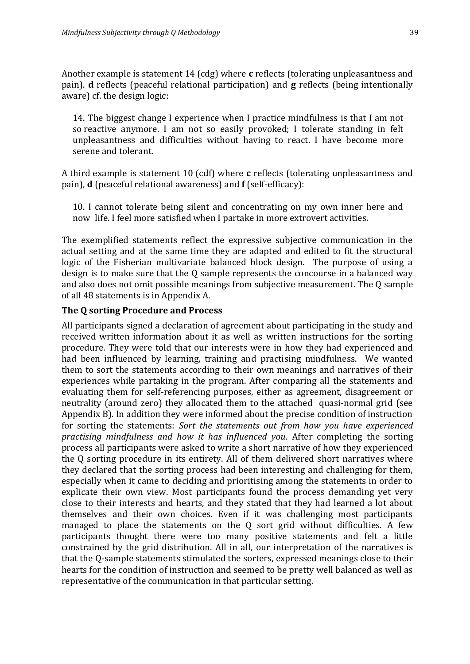Another example is statement 14 (cdg) where **c** reflects (tolerating unpleasantness and pain). **d** reflects (peaceful relational participation) and **g** reflects (being intentionally aware) cf. the design logic:

14. The biggest change I experience when I practice mindfulness is that I am not so reactive anymore. I am not so easily provoked; I tolerate standing in felt unpleasantness and difficulties without having to react. I have become more serene and tolerant.

A third example is statement 10 (cdf) where **c** reflects (tolerating unpleasantness and pain), **d** (peaceful relational awareness) and **f** (self-efficacy):

10. I cannot tolerate being silent and concentrating on my own inner here and now life. I feel more satisfied when I partake in more extrovert activities.

The exemplified statements reflect the expressive subjective communication in the actual setting and at the same time they are adapted and edited to fit the structural logic of the Fisherian multivariate balanced block design. The purpose of using a design is to make sure that the Q sample represents the concourse in a balanced way and also does not omit possible meanings from subjective measurement. The Q sample of all 48 statements is in Appendix A.

# **The Q sorting Procedure and Process**

All participants signed a declaration of agreement about participating in the study and received written information about it as well as written instructions for the sorting procedure. They were told that our interests were in how they had experienced and had been influenced by learning, training and practising mindfulness. We wanted them to sort the statements according to their own meanings and narratives of their experiences while partaking in the program. After comparing all the statements and evaluating them for self-referencing purposes, either as agreement, disagreement or neutrality (around zero) they allocated them to the attached quasi-normal grid (see Appendix B). In addition they were informed about the precise condition of instruction for sorting the statements: *Sort the statements out from how you have experienced practising mindfulness and how it has influenced you*. After completing the sorting process all participants were asked to write a short narrative of how they experienced the Q sorting procedure in its entirety. All of them delivered short narratives where they declared that the sorting process had been interesting and challenging for them, especially when it came to deciding and prioritising among the statements in order to explicate their own view. Most participants found the process demanding yet very close to their interests and hearts, and they stated that they had learned a lot about themselves and their own choices. Even if it was challenging most participants managed to place the statements on the Q sort grid without difficulties. A few participants thought there were too many positive statements and felt a little constrained by the grid distribution. All in all, our interpretation of the narratives is that the Q-sample statements stimulated the sorters, expressed meanings close to their hearts for the condition of instruction and seemed to be pretty well balanced as well as representative of the communication in that particular setting.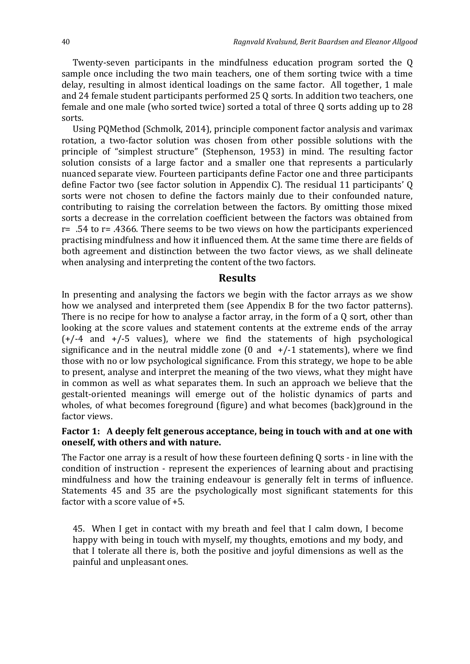Twenty-seven participants in the mindfulness education program sorted the Q sample once including the two main teachers, one of them sorting twice with a time delay, resulting in almost identical loadings on the same factor. All together, 1 male and 24 female student participants performed 25 Q sorts. In addition two teachers, one female and one male (who sorted twice) sorted a total of three Q sorts adding up to 28 sorts.

Using PQMethod (Schmolk, 2014), principle component factor analysis and varimax rotation, a two-factor solution was chosen from other possible solutions with the principle of "simplest structure" (Stephenson, 1953) in mind. The resulting factor solution consists of a large factor and a smaller one that represents a particularly nuanced separate view. Fourteen participants define Factor one and three participants define Factor two (see factor solution in Appendix C). The residual 11 participants' Q sorts were not chosen to define the factors mainly due to their confounded nature, contributing to raising the correlation between the factors. By omitting those mixed sorts a decrease in the correlation coefficient between the factors was obtained from  $r=$  .54 to  $r=$  .4366. There seems to be two views on how the participants experienced practising mindfulness and how it influenced them. At the same time there are fields of both agreement and distinction between the two factor views, as we shall delineate when analysing and interpreting the content of the two factors.

#### **Results**

In presenting and analysing the factors we begin with the factor arrays as we show how we analysed and interpreted them (see Appendix B for the two factor patterns). There is no recipe for how to analyse a factor array, in the form of a Q sort, other than looking at the score values and statement contents at the extreme ends of the array  $(+/-4$  and  $+/-5$  values), where we find the statements of high psychological significance and in the neutral middle zone  $(0 \text{ and } +/-1 \text{ statements})$ , where we find those with no or low psychological significance. From this strategy, we hope to be able to present, analyse and interpret the meaning of the two views, what they might have in common as well as what separates them. In such an approach we believe that the gestalt-oriented meanings will emerge out of the holistic dynamics of parts and wholes, of what becomes foreground (figure) and what becomes (back)ground in the factor views.

## **Factor 1: A deeply felt generous acceptance, being in touch with and at one with oneself, with others and with nature.**

The Factor one array is a result of how these fourteen defining Q sorts - in line with the condition of instruction - represent the experiences of learning about and practising mindfulness and how the training endeavour is generally felt in terms of influence. Statements 45 and 35 are the psychologically most significant statements for this factor with a score value of +5.

45. When I get in contact with my breath and feel that I calm down, I become happy with being in touch with myself, my thoughts, emotions and my body, and that I tolerate all there is, both the positive and joyful dimensions as well as the painful and unpleasant ones.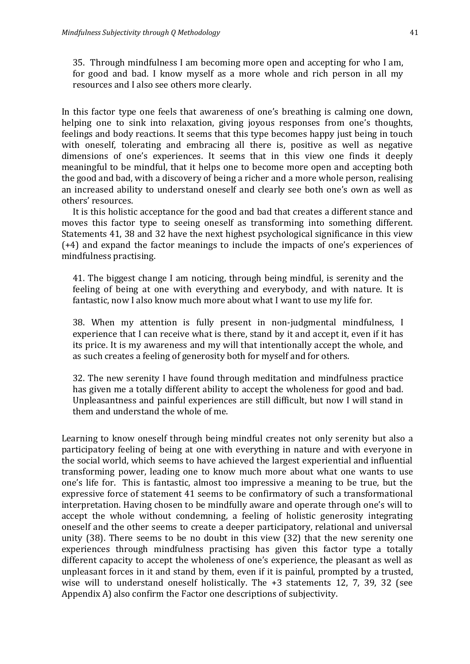35. Through mindfulness I am becoming more open and accepting for who I am, for good and bad. I know myself as a more whole and rich person in all my resources and I also see others more clearly.

In this factor type one feels that awareness of one's breathing is calming one down, helping one to sink into relaxation, giving joyous responses from one's thoughts, feelings and body reactions. It seems that this type becomes happy just being in touch with oneself, tolerating and embracing all there is, positive as well as negative dimensions of one's experiences. It seems that in this view one finds it deeply meaningful to be mindful, that it helps one to become more open and accepting both the good and bad, with a discovery of being a richer and a more whole person, realising an increased ability to understand oneself and clearly see both one's own as well as others' resources.

It is this holistic acceptance for the good and bad that creates a different stance and moves this factor type to seeing oneself as transforming into something different. Statements 41, 38 and 32 have the next highest psychological significance in this view (+4) and expand the factor meanings to include the impacts of one's experiences of mindfulness practising.

41. The biggest change I am noticing, through being mindful, is serenity and the feeling of being at one with everything and everybody, and with nature. It is fantastic, now I also know much more about what I want to use my life for.

38. When my attention is fully present in non-judgmental mindfulness, I experience that I can receive what is there, stand by it and accept it, even if it has its price. It is my awareness and my will that intentionally accept the whole, and as such creates a feeling of generosity both for myself and for others.

32. The new serenity I have found through meditation and mindfulness practice has given me a totally different ability to accept the wholeness for good and bad. Unpleasantness and painful experiences are still difficult, but now I will stand in them and understand the whole of me.

Learning to know oneself through being mindful creates not only serenity but also a participatory feeling of being at one with everything in nature and with everyone in the social world, which seems to have achieved the largest experiential and influential transforming power, leading one to know much more about what one wants to use one's life for. This is fantastic, almost too impressive a meaning to be true, but the expressive force of statement 41 seems to be confirmatory of such a transformational interpretation. Having chosen to be mindfully aware and operate through one's will to accept the whole without condemning, a feeling of holistic generosity integrating oneself and the other seems to create a deeper participatory, relational and universal unity (38). There seems to be no doubt in this view (32) that the new serenity one experiences through mindfulness practising has given this factor type a totally different capacity to accept the wholeness of one's experience, the pleasant as well as unpleasant forces in it and stand by them, even if it is painful, prompted by a trusted, wise will to understand oneself holistically. The +3 statements 12, 7, 39, 32 (see Appendix A) also confirm the Factor one descriptions of subjectivity.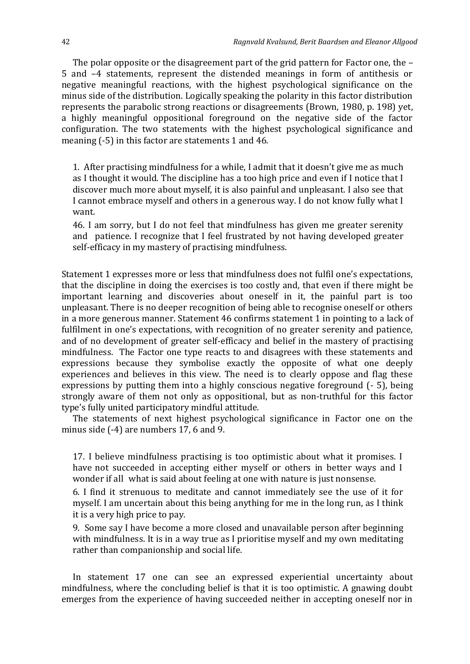The polar opposite or the disagreement part of the grid pattern for Factor one, the – 5 and –4 statements, represent the distended meanings in form of antithesis or negative meaningful reactions, with the highest psychological significance on the minus side of the distribution. Logically speaking the polarity in this factor distribution represents the parabolic strong reactions or disagreements (Brown, 1980, p. 198) yet, a highly meaningful oppositional foreground on the negative side of the factor configuration. The two statements with the highest psychological significance and meaning (-5) in this factor are statements 1 and 46.

1. After practising mindfulness for a while, I admit that it doesn't give me as much as I thought it would. The discipline has a too high price and even if I notice that I discover much more about myself, it is also painful and unpleasant. I also see that I cannot embrace myself and others in a generous way. I do not know fully what I want.

46. I am sorry, but I do not feel that mindfulness has given me greater serenity and patience. I recognize that I feel frustrated by not having developed greater self-efficacy in my mastery of practising mindfulness.

Statement 1 expresses more or less that mindfulness does not fulfil one's expectations, that the discipline in doing the exercises is too costly and, that even if there might be important learning and discoveries about oneself in it, the painful part is too unpleasant. There is no deeper recognition of being able to recognise oneself or others in a more generous manner. Statement 46 confirms statement 1 in pointing to a lack of fulfilment in one's expectations, with recognition of no greater serenity and patience, and of no development of greater self-efficacy and belief in the mastery of practising mindfulness. The Factor one type reacts to and disagrees with these statements and expressions because they symbolise exactly the opposite of what one deeply experiences and believes in this view. The need is to clearly oppose and flag these expressions by putting them into a highly conscious negative foreground (- 5), being strongly aware of them not only as oppositional, but as non-truthful for this factor type's fully united participatory mindful attitude.

The statements of next highest psychological significance in Factor one on the minus side (-4) are numbers 17, 6 and 9.

17. I believe mindfulness practising is too optimistic about what it promises. I have not succeeded in accepting either myself or others in better ways and I wonder if all what is said about feeling at one with nature is just nonsense.

6. I find it strenuous to meditate and cannot immediately see the use of it for myself. I am uncertain about this being anything for me in the long run, as I think it is a very high price to pay.

9. Some say I have become a more closed and unavailable person after beginning with mindfulness. It is in a way true as I prioritise myself and my own meditating rather than companionship and social life.

In statement 17 one can see an expressed experiential uncertainty about mindfulness, where the concluding belief is that it is too optimistic. A gnawing doubt emerges from the experience of having succeeded neither in accepting oneself nor in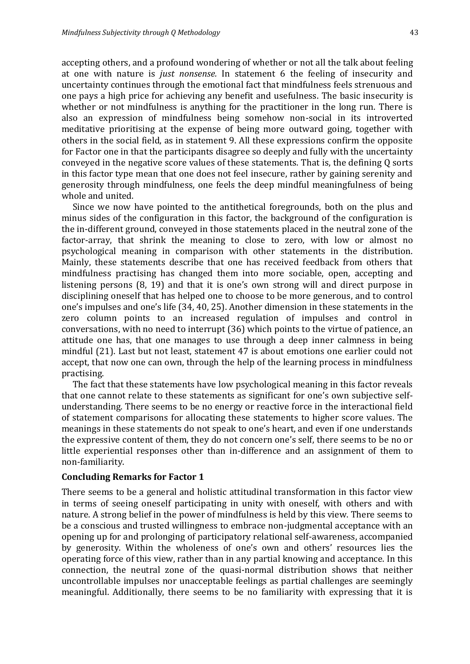accepting others, and a profound wondering of whether or not all the talk about feeling at one with nature is *just nonsense.* In statement 6 the feeling of insecurity and uncertainty continues through the emotional fact that mindfulness feels strenuous and one pays a high price for achieving any benefit and usefulness. The basic insecurity is whether or not mindfulness is anything for the practitioner in the long run. There is also an expression of mindfulness being somehow non-social in its introverted meditative prioritising at the expense of being more outward going, together with others in the social field, as in statement 9. All these expressions confirm the opposite for Factor one in that the participants disagree so deeply and fully with the uncertainty conveyed in the negative score values of these statements. That is, the defining Q sorts in this factor type mean that one does not feel insecure, rather by gaining serenity and generosity through mindfulness, one feels the deep mindful meaningfulness of being whole and united.

Since we now have pointed to the antithetical foregrounds, both on the plus and minus sides of the configuration in this factor, the background of the configuration is the in-different ground, conveyed in those statements placed in the neutral zone of the factor-array, that shrink the meaning to close to zero, with low or almost no psychological meaning in comparison with other statements in the distribution. Mainly, these statements describe that one has received feedback from others that mindfulness practising has changed them into more sociable, open, accepting and listening persons (8, 19) and that it is one's own strong will and direct purpose in disciplining oneself that has helped one to choose to be more generous, and to control one's impulses and one's life (34, 40, 25). Another dimension in these statements in the zero column points to an increased regulation of impulses and control in conversations, with no need to interrupt (36) which points to the virtue of patience, an attitude one has, that one manages to use through a deep inner calmness in being mindful (21). Last but not least, statement 47 is about emotions one earlier could not accept, that now one can own, through the help of the learning process in mindfulness practising.

The fact that these statements have low psychological meaning in this factor reveals that one cannot relate to these statements as significant for one's own subjective selfunderstanding. There seems to be no energy or reactive force in the interactional field of statement comparisons for allocating these statements to higher score values. The meanings in these statements do not speak to one's heart, and even if one understands the expressive content of them, they do not concern one's self, there seems to be no or little experiential responses other than in-difference and an assignment of them to non-familiarity.

#### **Concluding Remarks for Factor 1**

There seems to be a general and holistic attitudinal transformation in this factor view in terms of seeing oneself participating in unity with oneself, with others and with nature. A strong belief in the power of mindfulness is held by this view. There seems to be a conscious and trusted willingness to embrace non-judgmental acceptance with an opening up for and prolonging of participatory relational self-awareness, accompanied by generosity. Within the wholeness of one's own and others' resources lies the operating force of this view, rather than in any partial knowing and acceptance. In this connection, the neutral zone of the quasi-normal distribution shows that neither uncontrollable impulses nor unacceptable feelings as partial challenges are seemingly meaningful. Additionally, there seems to be no familiarity with expressing that it is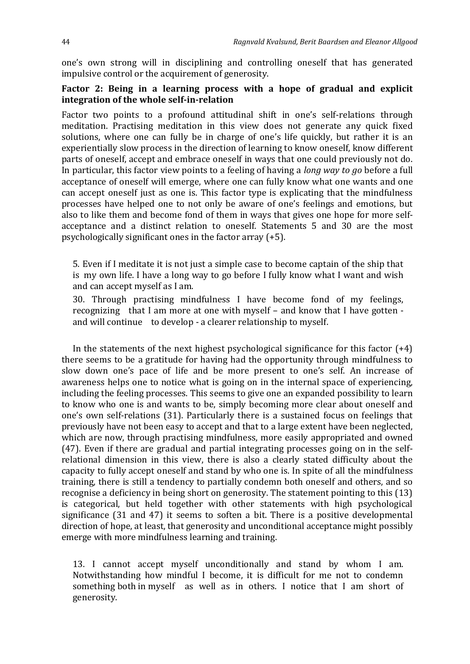one's own strong will in disciplining and controlling oneself that has generated impulsive control or the acquirement of generosity.

### **Factor 2: Being in a learning process with a hope of gradual and explicit integration of the whole self-in-relation**

Factor two points to a profound attitudinal shift in one's self-relations through meditation. Practising meditation in this view does not generate any quick fixed solutions, where one can fully be in charge of one's life quickly, but rather it is an experientially slow process in the direction of learning to know oneself, know different parts of oneself, accept and embrace oneself in ways that one could previously not do. In particular, this factor view points to a feeling of having a *long way to go* before a full acceptance of oneself will emerge, where one can fully know what one wants and one can accept oneself just as one is. This factor type is explicating that the mindfulness processes have helped one to not only be aware of one's feelings and emotions, but also to like them and become fond of them in ways that gives one hope for more selfacceptance and a distinct relation to oneself. Statements 5 and 30 are the most psychologically significant ones in the factor array (+5).

5. Even if I meditate it is not just a simple case to become captain of the ship that is my own life. I have a long way to go before I fully know what I want and wish and can accept myself as I am.

30. Through practising mindfulness I have become fond of my feelings, recognizing that I am more at one with myself – and know that I have gotten and will continue to develop - a clearer relationship to myself.

In the statements of the next highest psychological significance for this factor  $(+4)$ there seems to be a gratitude for having had the opportunity through mindfulness to slow down one's pace of life and be more present to one's self. An increase of awareness helps one to notice what is going on in the internal space of experiencing, including the feeling processes. This seems to give one an expanded possibility to learn to know who one is and wants to be, simply becoming more clear about oneself and one's own self-relations (31). Particularly there is a sustained focus on feelings that previously have not been easy to accept and that to a large extent have been neglected, which are now, through practising mindfulness, more easily appropriated and owned (47). Even if there are gradual and partial integrating processes going on in the selfrelational dimension in this view, there is also a clearly stated difficulty about the capacity to fully accept oneself and stand by who one is. In spite of all the mindfulness training, there is still a tendency to partially condemn both oneself and others, and so recognise a deficiency in being short on generosity. The statement pointing to this (13) is categorical, but held together with other statements with high psychological significance (31 and 47) it seems to soften a bit. There is a positive developmental direction of hope, at least, that generosity and unconditional acceptance might possibly emerge with more mindfulness learning and training.

13. I cannot accept myself unconditionally and stand by whom I am. Notwithstanding how mindful I become, it is difficult for me not to condemn something both in myself as well as in others. I notice that I am short of generosity.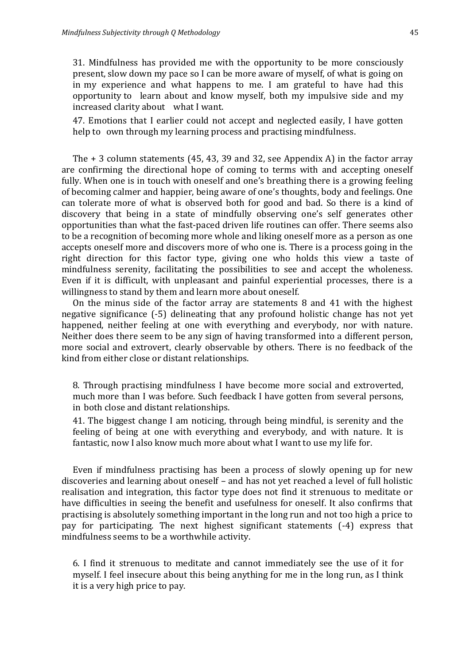31. Mindfulness has provided me with the opportunity to be more consciously present, slow down my pace so I can be more aware of myself, of what is going on in my experience and what happens to me. I am grateful to have had this opportunity to learn about and know myself, both my impulsive side and my increased clarity about what I want.

47. Emotions that I earlier could not accept and neglected easily, I have gotten help to own through my learning process and practising mindfulness.

The + 3 column statements (45, 43, 39 and 32, see Appendix A) in the factor array are confirming the directional hope of coming to terms with and accepting oneself fully. When one is in touch with oneself and one's breathing there is a growing feeling of becoming calmer and happier, being aware of one's thoughts, body and feelings. One can tolerate more of what is observed both for good and bad. So there is a kind of discovery that being in a state of mindfully observing one's self generates other opportunities than what the fast-paced driven life routines can offer. There seems also to be a recognition of becoming more whole and liking oneself more as a person as one accepts oneself more and discovers more of who one is. There is a process going in the right direction for this factor type, giving one who holds this view a taste of mindfulness serenity, facilitating the possibilities to see and accept the wholeness. Even if it is difficult, with unpleasant and painful experiential processes, there is a willingness to stand by them and learn more about oneself.

On the minus side of the factor array are statements 8 and 41 with the highest negative significance (-5) delineating that any profound holistic change has not yet happened, neither feeling at one with everything and everybody, nor with nature. Neither does there seem to be any sign of having transformed into a different person, more social and extrovert, clearly observable by others. There is no feedback of the kind from either close or distant relationships.

8. Through practising mindfulness I have become more social and extroverted, much more than I was before. Such feedback I have gotten from several persons, in both close and distant relationships.

41. The biggest change I am noticing, through being mindful, is serenity and the feeling of being at one with everything and everybody, and with nature. It is fantastic, now I also know much more about what I want to use my life for.

Even if mindfulness practising has been a process of slowly opening up for new discoveries and learning about oneself – and has not yet reached a level of full holistic realisation and integration, this factor type does not find it strenuous to meditate or have difficulties in seeing the benefit and usefulness for oneself. It also confirms that practising is absolutely something important in the long run and not too high a price to pay for participating. The next highest significant statements (-4) express that mindfulness seems to be a worthwhile activity.

6. I find it strenuous to meditate and cannot immediately see the use of it for myself. I feel insecure about this being anything for me in the long run, as I think it is a very high price to pay.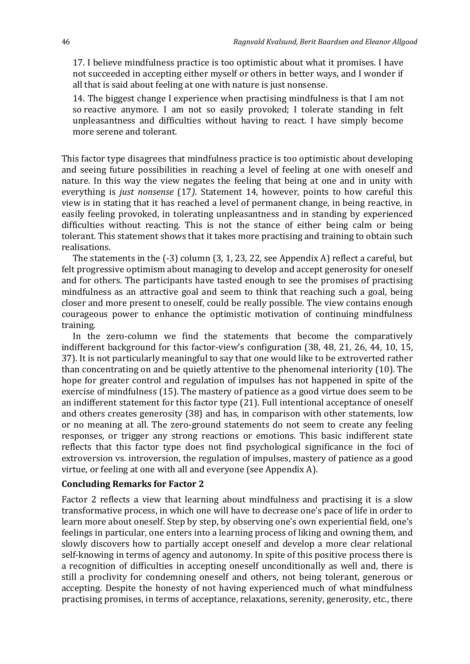17. I believe mindfulness practice is too optimistic about what it promises. I have not succeeded in accepting either myself or others in better ways, and I wonder if all that is said about feeling at one with nature is just nonsense.

14. The biggest change I experience when practising mindfulness is that I am not so reactive anymore. I am not so easily provoked; I tolerate standing in felt unpleasantness and difficulties without having to react. I have simply become more serene and tolerant.

This factor type disagrees that mindfulness practice is too optimistic about developing and seeing future possibilities in reaching a level of feeling at one with oneself and nature. In this way the view negates the feeling that being at one and in unity with everything is *just nonsense* (17*)*. Statement 14, however, points to how careful this view is in stating that it has reached a level of permanent change, in being reactive, in easily feeling provoked, in tolerating unpleasantness and in standing by experienced difficulties without reacting. This is not the stance of either being calm or being tolerant. This statement shows that it takes more practising and training to obtain such realisations.

The statements in the (-3) column (3, 1, 23, 22, see Appendix A) reflect a careful, but felt progressive optimism about managing to develop and accept generosity for oneself and for others. The participants have tasted enough to see the promises of practising mindfulness as an attractive goal and seem to think that reaching such a goal, being closer and more present to oneself, could be really possible. The view contains enough courageous power to enhance the optimistic motivation of continuing mindfulness training.

In the zero-column we find the statements that become the comparatively indifferent background for this factor-view's configuration (38, 48, 21, 26, 44, 10, 15, 37). It is not particularly meaningful to say that one would like to be extroverted rather than concentrating on and be quietly attentive to the phenomenal interiority (10). The hope for greater control and regulation of impulses has not happened in spite of the exercise of mindfulness (15). The mastery of patience as a good virtue does seem to be an indifferent statement for this factor type (21). Full intentional acceptance of oneself and others creates generosity (38) and has, in comparison with other statements, low or no meaning at all. The zero-ground statements do not seem to create any feeling responses, or trigger any strong reactions or emotions. This basic indifferent state reflects that this factor type does not find psychological significance in the foci of extroversion vs. introversion, the regulation of impulses, mastery of patience as a good virtue, or feeling at one with all and everyone (see Appendix A).

### **Concluding Remarks for Factor 2**

Factor 2 reflects a view that learning about mindfulness and practising it is a slow transformative process, in which one will have to decrease one's pace of life in order to learn more about oneself. Step by step, by observing one's own experiential field, one's feelings in particular, one enters into a learning process of liking and owning them, and slowly discovers how to partially accept oneself and develop a more clear relational self-knowing in terms of agency and autonomy. In spite of this positive process there is a recognition of difficulties in accepting oneself unconditionally as well and, there is still a proclivity for condemning oneself and others, not being tolerant, generous or accepting. Despite the honesty of not having experienced much of what mindfulness practising promises, in terms of acceptance, relaxations, serenity, generosity, etc., there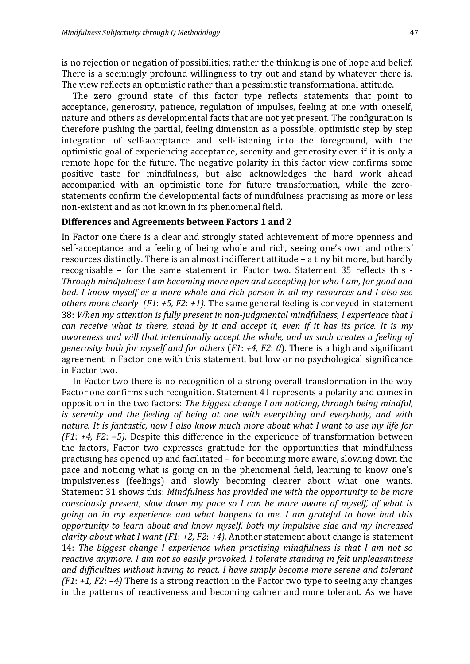is no rejection or negation of possibilities; rather the thinking is one of hope and belief. There is a seemingly profound willingness to try out and stand by whatever there is. The view reflects an optimistic rather than a pessimistic transformational attitude.

The zero ground state of this factor type reflects statements that point to acceptance, generosity, patience, regulation of impulses, feeling at one with oneself, nature and others as developmental facts that are not yet present. The configuration is therefore pushing the partial, feeling dimension as a possible, optimistic step by step integration of self-acceptance and self-listening into the foreground, with the optimistic goal of experiencing acceptance, serenity and generosity even if it is only a remote hope for the future. The negative polarity in this factor view confirms some positive taste for mindfulness, but also acknowledges the hard work ahead accompanied with an optimistic tone for future transformation, while the zerostatements confirm the developmental facts of mindfulness practising as more or less non-existent and as not known in its phenomenal field.

# **Differences and Agreements between Factors 1 and 2**

In Factor one there is a clear and strongly stated achievement of more openness and self-acceptance and a feeling of being whole and rich, seeing one's own and others' resources distinctly. There is an almost indifferent attitude – a tiny bit more, but hardly recognisable – for the same statement in Factor two. Statement 35 reflects this - *Through mindfulness I am becoming more open and accepting for who I am, for good and bad. I know myself as a more whole and rich person in all my resources and I also see others more clearly (F1*: *+5, F2*: *+1).* The same general feeling is conveyed in statement 38: *When my attention is fully present in non-judgmental mindfulness, I experience that I can receive what is there, stand by it and accept it, even if it has its price. It is my awareness and will that intentionally accept the whole, and as such creates a feeling of generosity both for myself and for others* (*F1*: *+4, F2*: *0*). There is a high and significant agreement in Factor one with this statement, but low or no psychological significance in Factor two.

In Factor two there is no recognition of a strong overall transformation in the way Factor one confirms such recognition. Statement 41 represents a polarity and comes in opposition in the two factors: *The biggest change I am noticing, through being mindful, is serenity and the feeling of being at one with everything and everybody, and with nature. It is fantastic, now I also know much more about what I want to use my life for (F1*: *+4, F2*: *–5).* Despite this difference in the experience of transformation between the factors, Factor two expresses gratitude for the opportunities that mindfulness practising has opened up and facilitated – for becoming more aware, slowing down the pace and noticing what is going on in the phenomenal field, learning to know one's impulsiveness (feelings) and slowly becoming clearer about what one wants. Statement 31 shows this: *Mindfulness has provided me with the opportunity to be more consciously present, slow down my pace so I can be more aware of myself, of what is going on in my experience and what happens to me. I am grateful to have had this opportunity to learn about and know myself, both my impulsive side and my increased clarity about what I want (F1*: *+2, F2*: *+4).* Another statement about change is statement 14: *The biggest change I experience when practising mindfulness is that I am not so reactive anymore. I am not so easily provoked. I tolerate standing in felt unpleasantness and difficulties without having to react. I have simply become more serene and tolerant (F1*: *+1, F2*: *–4)* There is a strong reaction in the Factor two type to seeing any changes in the patterns of reactiveness and becoming calmer and more tolerant. As we have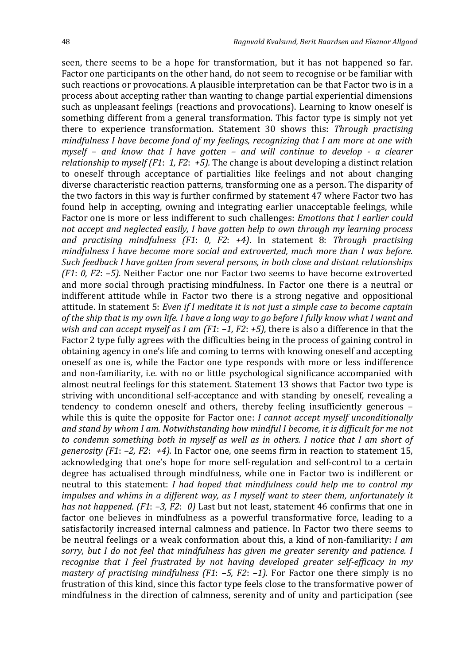seen, there seems to be a hope for transformation, but it has not happened so far. Factor one participants on the other hand, do not seem to recognise or be familiar with such reactions or provocations. A plausible interpretation can be that Factor two is in a process about accepting rather than wanting to change partial experiential dimensions such as unpleasant feelings (reactions and provocations). Learning to know oneself is something different from a general transformation. This factor type is simply not yet there to experience transformation. Statement 30 shows this: *Through practising mindfulness I have become fond of my feelings, recognizing that I am more at one with myself – and know that I have gotten – and will continue to develop - a clearer relationship to myself (F1*: *1, F2*: *+5).* The change is about developing a distinct relation to oneself through acceptance of partialities like feelings and not about changing diverse characteristic reaction patterns, transforming one as a person. The disparity of the two factors in this way is further confirmed by statement 47 where Factor two has found help in accepting, owning and integrating earlier unacceptable feelings, while Factor one is more or less indifferent to such challenges: *Emotions that I earlier could not accept and neglected easily, I have gotten help to own through my learning process and practising mindfulness (F1*: *0, F2*: *+4)*. In statement 8: *Through practising mindfulness I have become more social and extroverted, much more than I was before. Such feedback I have gotten from several persons, in both close and distant relationships (F1*: *0, F2*: *–5).* Neither Factor one nor Factor two seems to have become extroverted and more social through practising mindfulness. In Factor one there is a neutral or indifferent attitude while in Factor two there is a strong negative and oppositional attitude. In statement 5: *Even if I meditate it is not just a simple case to become captain of the ship that is my own life. I have a long way to go before I fully know what I want and wish and can accept myself as I am (F1*: *–1, F2*: *+5),* there is also a difference in that the Factor 2 type fully agrees with the difficulties being in the process of gaining control in obtaining agency in one's life and coming to terms with knowing oneself and accepting oneself as one is, while the Factor one type responds with more or less indifference and non-familiarity, i.e. with no or little psychological significance accompanied with almost neutral feelings for this statement. Statement 13 shows that Factor two type is striving with unconditional self-acceptance and with standing by oneself, revealing a tendency to condemn oneself and others, thereby feeling insufficiently generous – while this is quite the opposite for Factor one: *I cannot accept myself unconditionally and stand by whom I am. Notwithstanding how mindful I become, it is difficult for me not to condemn something both in myself as well as in others. I notice that I am short of generosity (F1*: *–2, F2*: *+4).* In Factor one, one seems firm in reaction to statement 15, acknowledging that one's hope for more self-regulation and self-control to a certain degree has actualised through mindfulness, while one in Factor two is indifferent or neutral to this statement: *I had hoped that mindfulness could help me to control my impulses and whims in a different way, as I myself want to steer them, unfortunately it has not happened. (F1*: *–3, F2*: *0)* Last but not least, statement 46 confirms that one in factor one believes in mindfulness as a powerful transformative force, leading to a satisfactorily increased internal calmness and patience. In Factor two there seems to be neutral feelings or a weak conformation about this, a kind of non-familiarity: *I am sorry, but I do not feel that mindfulness has given me greater serenity and patience. I recognise that I feel frustrated by not having developed greater self-efficacy in my mastery of practising mindfulness (F1*: *–5, F2*: *–1).* For Factor one there simply is no frustration of this kind, since this factor type feels close to the transformative power of mindfulness in the direction of calmness, serenity and of unity and participation (see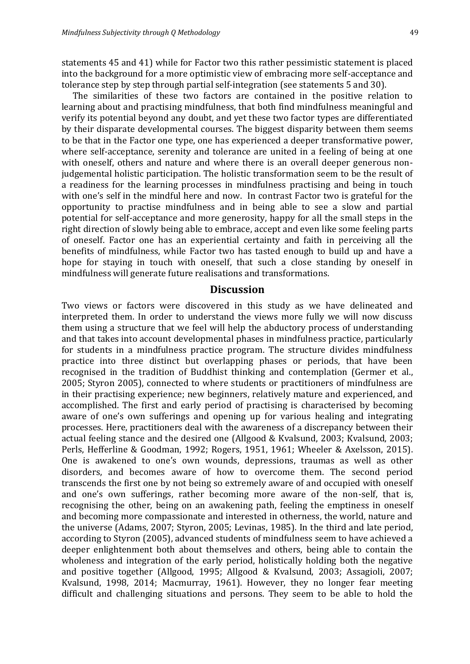statements 45 and 41) while for Factor two this rather pessimistic statement is placed into the background for a more optimistic view of embracing more self-acceptance and tolerance step by step through partial self-integration (see statements 5 and 30).

The similarities of these two factors are contained in the positive relation to learning about and practising mindfulness, that both find mindfulness meaningful and verify its potential beyond any doubt, and yet these two factor types are differentiated by their disparate developmental courses. The biggest disparity between them seems to be that in the Factor one type, one has experienced a deeper transformative power, where self-acceptance, serenity and tolerance are united in a feeling of being at one with oneself, others and nature and where there is an overall deeper generous nonjudgemental holistic participation. The holistic transformation seem to be the result of a readiness for the learning processes in mindfulness practising and being in touch with one's self in the mindful here and now. In contrast Factor two is grateful for the opportunity to practise mindfulness and in being able to see a slow and partial potential for self-acceptance and more generosity, happy for all the small steps in the right direction of slowly being able to embrace, accept and even like some feeling parts of oneself. Factor one has an experiential certainty and faith in perceiving all the benefits of mindfulness, while Factor two has tasted enough to build up and have a hope for staying in touch with oneself, that such a close standing by oneself in mindfulness will generate future realisations and transformations.

#### **Discussion**

Two views or factors were discovered in this study as we have delineated and interpreted them. In order to understand the views more fully we will now discuss them using a structure that we feel will help the abductory process of understanding and that takes into account developmental phases in mindfulness practice, particularly for students in a mindfulness practice program. The structure divides mindfulness practice into three distinct but overlapping phases or periods, that have been recognised in the tradition of Buddhist thinking and contemplation (Germer et al., 2005; Styron 2005), connected to where students or practitioners of mindfulness are in their practising experience; new beginners, relatively mature and experienced, and accomplished. The first and early period of practising is characterised by becoming aware of one's own sufferings and opening up for various healing and integrating processes. Here, practitioners deal with the awareness of a discrepancy between their actual feeling stance and the desired one (Allgood & Kvalsund, 2003; Kvalsund, 2003; Perls, Hefferline & Goodman, 1992; Rogers, 1951, 1961; Wheeler & Axelsson, 2015). One is awakened to one's own wounds, depressions, traumas as well as other disorders, and becomes aware of how to overcome them. The second period transcends the first one by not being so extremely aware of and occupied with oneself and one's own sufferings, rather becoming more aware of the non-self, that is, recognising the other, being on an awakening path, feeling the emptiness in oneself and becoming more compassionate and interested in otherness, the world, nature and the universe (Adams, 2007; Styron, 2005; Levinas, 1985). In the third and late period, according to Styron (2005), advanced students of mindfulness seem to have achieved a deeper enlightenment both about themselves and others, being able to contain the wholeness and integration of the early period, holistically holding both the negative and positive together (Allgood, 1995; Allgood & Kvalsund, 2003; Assagioli, 2007; Kvalsund, 1998, 2014; Macmurray, 1961). However, they no longer fear meeting difficult and challenging situations and persons. They seem to be able to hold the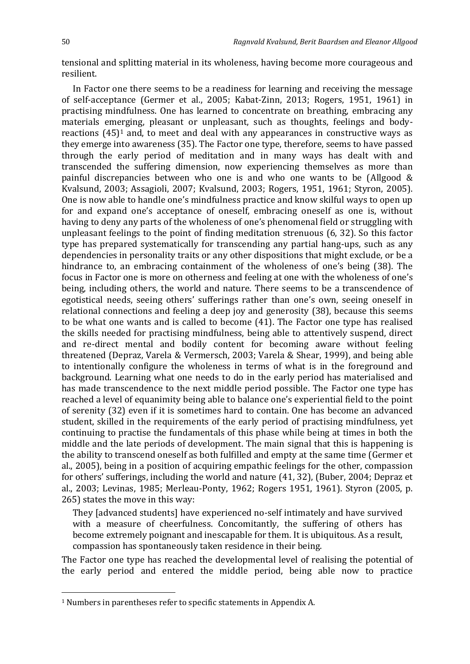<u>.</u>

tensional and splitting material in its wholeness, having become more courageous and resilient.

In Factor one there seems to be a readiness for learning and receiving the message of self-acceptance (Germer et al., 2005; Kabat-Zinn, 2013; Rogers, 1951, 1961) in practising mindfulness. One has learned to concentrate on breathing, embracing any materials emerging, pleasant or unpleasant, such as thoughts, feelings and bodyreactions  $(45)^1$  and, to meet and deal with any appearances in constructive ways as they emerge into awareness (35). The Factor one type, therefore, seems to have passed through the early period of meditation and in many ways has dealt with and transcended the suffering dimension, now experiencing themselves as more than painful discrepancies between who one is and who one wants to be (Allgood & Kvalsund, 2003; Assagioli, 2007; Kvalsund, 2003; Rogers, 1951, 1961; Styron, 2005). One is now able to handle one's mindfulness practice and know skilful ways to open up for and expand one's acceptance of oneself, embracing oneself as one is, without having to deny any parts of the wholeness of one's phenomenal field or struggling with unpleasant feelings to the point of finding meditation strenuous (6, 32). So this factor type has prepared systematically for transcending any partial hang-ups, such as any dependencies in personality traits or any other dispositions that might exclude, or be a hindrance to, an embracing containment of the wholeness of one's being (38). The focus in Factor one is more on otherness and feeling at one with the wholeness of one's being, including others, the world and nature. There seems to be a transcendence of egotistical needs, seeing others' sufferings rather than one's own, seeing oneself in relational connections and feeling a deep joy and generosity (38), because this seems to be what one wants and is called to become (41). The Factor one type has realised the skills needed for practising mindfulness, being able to attentively suspend, direct and re-direct mental and bodily content for becoming aware without feeling threatened (Depraz, Varela & Vermersch, 2003; Varela & Shear, 1999), and being able to intentionally configure the wholeness in terms of what is in the foreground and background. Learning what one needs to do in the early period has materialised and has made transcendence to the next middle period possible. The Factor one type has reached a level of equanimity being able to balance one's experiential field to the point of serenity (32) even if it is sometimes hard to contain. One has become an advanced student, skilled in the requirements of the early period of practising mindfulness, yet continuing to practise the fundamentals of this phase while being at times in both the middle and the late periods of development. The main signal that this is happening is the ability to transcend oneself as both fulfilled and empty at the same time (Germer et al., 2005), being in a position of acquiring empathic feelings for the other, compassion for others' sufferings, including the world and nature (41, 32), (Buber, 2004; Depraz et al., 2003; Levinas, 1985; Merleau-Ponty, 1962; Rogers 1951, 1961). Styron (2005, p. 265) states the move in this way:

They [advanced students] have experienced no-self intimately and have survived with a measure of cheerfulness. Concomitantly, the suffering of others has become extremely poignant and inescapable for them. It is ubiquitous. As a result, compassion has spontaneously taken residence in their being.

The Factor one type has reached the developmental level of realising the potential of the early period and entered the middle period, being able now to practice

<sup>1</sup> Numbers in parentheses refer to specific statements in Appendix A.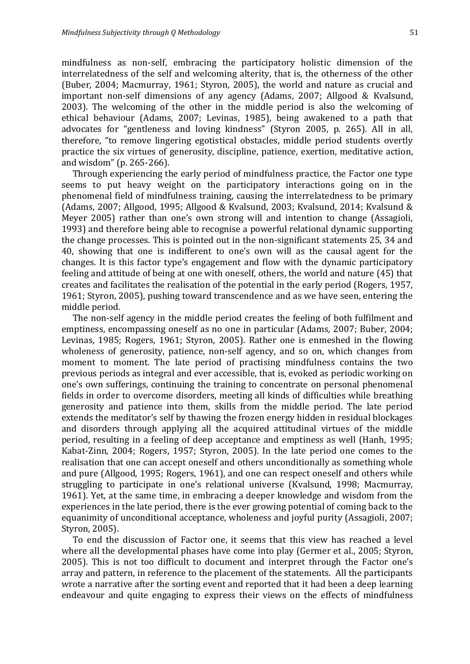mindfulness as non-self, embracing the participatory holistic dimension of the interrelatedness of the self and welcoming alterity, that is, the otherness of the other (Buber, 2004; Macmurray, 1961; Styron, 2005), the world and nature as crucial and important non-self dimensions of any agency (Adams, 2007; Allgood & Kvalsund, 2003). The welcoming of the other in the middle period is also the welcoming of ethical behaviour (Adams, 2007; Levinas, 1985), being awakened to a path that advocates for "gentleness and loving kindness" (Styron 2005, p. 265). All in all, therefore, "to remove lingering egotistical obstacles, middle period students overtly practice the six virtues of generosity, discipline, patience, exertion, meditative action, and wisdom" (p. 265-266).

Through experiencing the early period of mindfulness practice, the Factor one type seems to put heavy weight on the participatory interactions going on in the phenomenal field of mindfulness training, causing the interrelatedness to be primary (Adams, 2007; Allgood, 1995; Allgood & Kvalsund, 2003; Kvalsund, 2014; Kvalsund & Meyer 2005) rather than one's own strong will and intention to change (Assagioli, 1993) and therefore being able to recognise a powerful relational dynamic supporting the change processes. This is pointed out in the non-significant statements 25, 34 and 40, showing that one is indifferent to one's own will as the causal agent for the changes. It is this factor type's engagement and flow with the dynamic participatory feeling and attitude of being at one with oneself, others, the world and nature (45) that creates and facilitates the realisation of the potential in the early period (Rogers, 1957, 1961; Styron, 2005), pushing toward transcendence and as we have seen, entering the middle period.

The non-self agency in the middle period creates the feeling of both fulfilment and emptiness, encompassing oneself as no one in particular (Adams, 2007; Buber, 2004; Levinas, 1985; Rogers, 1961; Styron, 2005). Rather one is enmeshed in the flowing wholeness of generosity, patience, non-self agency, and so on, which changes from moment to moment. The late period of practising mindfulness contains the two previous periods as integral and ever accessible, that is, evoked as periodic working on one's own sufferings, continuing the training to concentrate on personal phenomenal fields in order to overcome disorders, meeting all kinds of difficulties while breathing generosity and patience into them, skills from the middle period. The late period extends the meditator's self by thawing the frozen energy hidden in residual blockages and disorders through applying all the acquired attitudinal virtues of the middle period, resulting in a feeling of deep acceptance and emptiness as well (Hanh, 1995; Kabat-Zinn, 2004; Rogers, 1957; Styron, 2005). In the late period one comes to the realisation that one can accept oneself and others unconditionally as something whole and pure (Allgood, 1995; Rogers, 1961), and one can respect oneself and others while struggling to participate in one's relational universe (Kvalsund, 1998; Macmurray, 1961). Yet, at the same time, in embracing a deeper knowledge and wisdom from the experiences in the late period, there is the ever growing potential of coming back to the equanimity of unconditional acceptance, wholeness and joyful purity (Assagioli, 2007; Styron, 2005).

To end the discussion of Factor one, it seems that this view has reached a level where all the developmental phases have come into play (Germer et al., 2005; Styron, 2005). This is not too difficult to document and interpret through the Factor one's array and pattern, in reference to the placement of the statements. All the participants wrote a narrative after the sorting event and reported that it had been a deep learning endeavour and quite engaging to express their views on the effects of mindfulness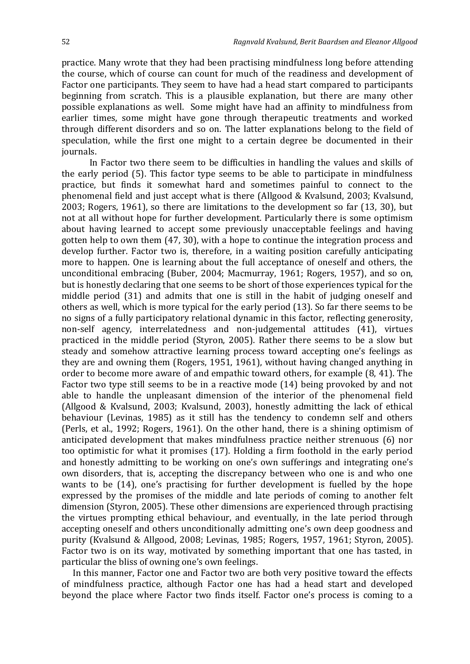practice. Many wrote that they had been practising mindfulness long before attending the course, which of course can count for much of the readiness and development of Factor one participants. They seem to have had a head start compared to participants beginning from scratch. This is a plausible explanation, but there are many other possible explanations as well. Some might have had an affinity to mindfulness from earlier times, some might have gone through therapeutic treatments and worked through different disorders and so on. The latter explanations belong to the field of speculation, while the first one might to a certain degree be documented in their journals.

In Factor two there seem to be difficulties in handling the values and skills of the early period (5). This factor type seems to be able to participate in mindfulness practice, but finds it somewhat hard and sometimes painful to connect to the phenomenal field and just accept what is there (Allgood & Kvalsund, 2003; Kvalsund, 2003; Rogers, 1961), so there are limitations to the development so far (13, 30), but not at all without hope for further development. Particularly there is some optimism about having learned to accept some previously unacceptable feelings and having gotten help to own them (47, 30), with a hope to continue the integration process and develop further. Factor two is, therefore, in a waiting position carefully anticipating more to happen. One is learning about the full acceptance of oneself and others, the unconditional embracing (Buber, 2004; Macmurray, 1961; Rogers, 1957), and so on, but is honestly declaring that one seems to be short of those experiences typical for the middle period (31) and admits that one is still in the habit of judging oneself and others as well, which is more typical for the early period (13). So far there seems to be no signs of a fully participatory relational dynamic in this factor, reflecting generosity, non-self agency, interrelatedness and non-judgemental attitudes (41), virtues practiced in the middle period (Styron, 2005). Rather there seems to be a slow but steady and somehow attractive learning process toward accepting one's feelings as they are and owning them (Rogers, 1951, 1961), without having changed anything in order to become more aware of and empathic toward others, for example (8, 41). The Factor two type still seems to be in a reactive mode (14) being provoked by and not able to handle the unpleasant dimension of the interior of the phenomenal field (Allgood & Kvalsund, 2003; Kvalsund, 2003), honestly admitting the lack of ethical behaviour (Levinas, 1985) as it still has the tendency to condemn self and others (Perls, et al., 1992; Rogers, 1961). On the other hand, there is a shining optimism of anticipated development that makes mindfulness practice neither strenuous (6) nor too optimistic for what it promises (17). Holding a firm foothold in the early period and honestly admitting to be working on one's own sufferings and integrating one's own disorders, that is, accepting the discrepancy between who one is and who one wants to be (14), one's practising for further development is fuelled by the hope expressed by the promises of the middle and late periods of coming to another felt dimension (Styron, 2005). These other dimensions are experienced through practising the virtues prompting ethical behaviour, and eventually, in the late period through accepting oneself and others unconditionally admitting one's own deep goodness and purity (Kvalsund & Allgood, 2008; Levinas, 1985; Rogers, 1957, 1961; Styron, 2005). Factor two is on its way, motivated by something important that one has tasted, in particular the bliss of owning one's own feelings.

In this manner, Factor one and Factor two are both very positive toward the effects of mindfulness practice, although Factor one has had a head start and developed beyond the place where Factor two finds itself. Factor one's process is coming to a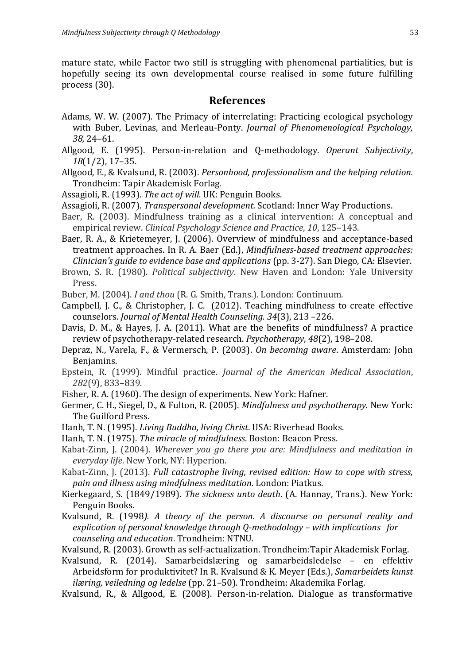mature state, while Factor two still is struggling with phenomenal partialities, but is hopefully seeing its own developmental course realised in some future fulfilling process (30).

# **References**

- Adams, W. W. (2007). The Primacy of interrelating: Practicing ecological psychology with Buber, Levinas, and Merleau-Ponty. *Journal of Phenomenological Psychology, 38,* 24–61.
- Allgood, E. (1995). Person-in-relation and Q-methodology. *Operant Subjectivity*, *18*(1/2), 17–35.
- Allgood, E., & Kvalsund, R. (2003). *Personhood, professionalism and the helping relation.* Trondheim: Tapir Akademisk Forlag.
- Assagioli, R. (1993). *The act of will.* UK: Penguin Books.
- Assagioli, R. (2007). *Transpersonal development.* Scotland: Inner Way Productions.
- Baer, R. (2003). Mindfulness training as a clinical intervention: A conceptual and empirical review. *Clinical Psychology Science and Practice*, *10*, 125–143.
- Baer, R. A., & Krietemeyer, J. (2006). Overview of mindfulness and acceptance-based treatment approaches. In R. A. Baer (Ed.), *Mindfulness-based treatment approaches: Clinician's guide to evidence base and applications* (pp. 3-27). San Diego, CA: Elsevier.
- Brown, S. R. (1980). *Political subjectivity*. New Haven and London: Yale University Press.
- Buber, M. (2004). *I and thou* (R. G. Smith, Trans.). London: Continuum.
- Campbell, J. C., & Christopher, J. C. (2012). Teaching mindfulness to create effective counselors. *Journal of Mental Health Counseling. 34*(3), 213 –226.
- Davis, D. M., & Hayes, J. A. (2011). What are the benefits of mindfulness? A practice review of psychotherapy-related research. *Psychotherapy*, *48*(2), 198–208.
- Depraz, N., Varela, F., & Vermersch, P. (2003). *On becoming aware*. Amsterdam: John Benjamins.
- Epstein, R. (1999). Mindful practice. *Journal of the American Medical Association*, *282*(9), 833–839.
- Fisher, R. A. (1960). The design of experiments. New York: Hafner.
- Germer, C. H., Siegel, D., & Fulton, R. (2005). *Mindfulness and psychotherapy.* New York: The Guilford Press.
- Hanh, T. N. (1995). *Living Buddha, living Christ*. USA: Riverhead Books.
- Hanh, T. N. (1975). *The miracle of mindfulness*. Boston: Beacon Press.
- Kabat-Zinn, J. (2004). *Wherever you go there you are: Mindfulness and meditation in everyday life*. New York, NY: Hyperion.
- Kabat-Zinn, J. (2013). *Full catastrophe living, revised edition: How to cope with stress, pain and illness using mindfulness meditation*. London: Piatkus.
- Kierkegaard, S. (1849/1989). *The sickness unto death*. (A. Hannay, Trans.). New York: Penguin Books.
- Kvalsund, R. (1998*). A theory of the person. A discourse on personal reality and explication of personal knowledge through Q-methodology – with implications for counseling and education*. Trondheim: NTNU.
- Kvalsund, R. (2003). Growth as self-actualization. Trondheim:Tapir Akademisk Forlag.
- Kvalsund, R. (2014). Samarbeidslæring og samarbeidsledelse en effektiv Arbeidsform for produktivitet? In R. Kvalsund & K. Meyer (Eds.), *Samarbeidets kunst ilæring, veiledning og ledelse* (pp. 21–50). Trondheim: Akademika Forlag.
- Kvalsund, R., & Allgood, E. (2008). Person-in-relation. Dialogue as transformative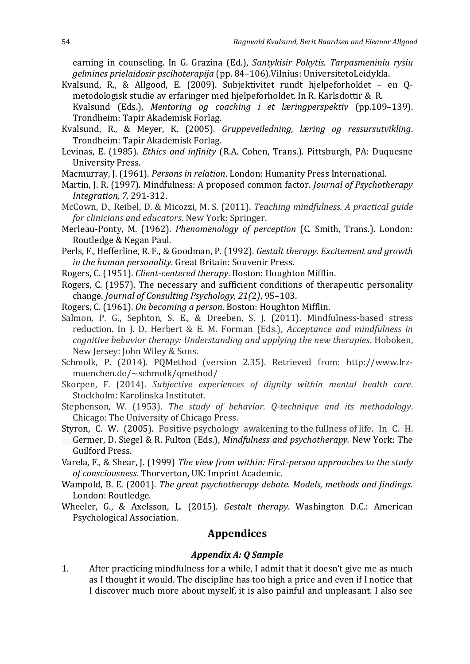earning in counseling. In G. Grazina (Ed.), *Santykisir Pokytis. Tarpasmeniniu rysiu gelmines prielaidosir pscihoterapija* (pp. 84–106).Vilnius: UniversitetoLeidykla.

- Kvalsund, R., & Allgood, E. (2009). Subjektivitet rundt hjelpeforholdet en Qmetodologisk studie av erfaringer med hjelpeforholdet. In R. Karlsdottir & R. Kvalsund (Eds.), *Mentoring og coaching i et læringperspektiv* (pp.109–139).
	- Trondheim: Tapir Akademisk Forlag.
- Kvalsund, R., & Meyer, K. (2005). *Gruppeveiledning, læring og ressursutvikling*. Trondheim: Tapir Akademisk Forlag.
- Levinas, E. (1985). *Ethics and infinity* (R.A. Cohen, Trans.). Pittsburgh, PA: Duquesne University Press.
- Macmurray, J. (1961). *Persons in relation*. London: Humanity Press International.
- Martin, J. R. (1997). Mindfulness: A proposed common factor. *Journal of Psychotherapy Integration, 7,* 291-312.
- McCown, D., Reibel, D. & Micozzi, M. S. (2011). *Teaching mindfulness. A practical guide for clinicians and educators*. New York: Springer.
- Merleau-Ponty, M. (1962). *Phenomenology of perception* (C. Smith, Trans.). London: Routledge & Kegan Paul.
- Perls, F., Hefferline, R. F., & Goodman, P. (1992). *Gestalt therapy. Excitement and growth in the human personality.* Great Britain: Souvenir Press.
- Rogers, C. (1951). *Client-centered therapy*. Boston: Houghton Mifflin.
- Rogers, C. (1957). The necessary and sufficient conditions of therapeutic personality change. *Journal of Consulting Psychology, 21(*2*)*, 95–103.
- Rogers, C. (1961). *On becoming a person*. Boston: Houghton Mifflin.
- Salmon, P. G., Sephton, S. E., & Dreeben, S. J. (2011). Mindfulness-based stress reduction. In J. D. Herbert & E. M. Forman (Eds.), *Acceptance and mindfulness in cognitive behavior therapy: Understanding and applying the new therapies*. Hoboken, New Jersey: John Wiley & Sons.
- Schmolk, P. (2014). PQMethod (version 2.35). Retrieved from: http://www.lrzmuenchen.de/~schmolk/qmethod/
- Skorpen, F. (2014). *Subjective experiences of dignity within mental health care*. Stockholm: Karolinska Institutet.
- Stephenson, W. (1953). *The study of behavior. Q-technique and its methodology*. Chicago: The University of Chicago Press.
- Styron, C. W. (2005). Positive psychology awakening to the fullness of life. In C. H. Germer, D. Siegel & R. Fulton (Eds.), *Mindfulness and psychotherapy.* New York: The Guilford Press.
- Varela, F., & Shear, J. (1999) *The view from within: First-person approaches to the study of consciousness*. Thorverton, UK: Imprint Academic.
- Wampold, B. E. (2001). *The great psychotherapy debate. Models, methods and findings.* London: Routledge.
- Wheeler, G., & Axelsson, L. (2015). *Gestalt therapy*. Washington D.C.: American Psychological Association.

# **Appendices**

#### *Appendix A: Q Sample*

1. After practicing mindfulness for a while, I admit that it doesn't give me as much as I thought it would. The discipline has too high a price and even if I notice that I discover much more about myself, it is also painful and unpleasant. I also see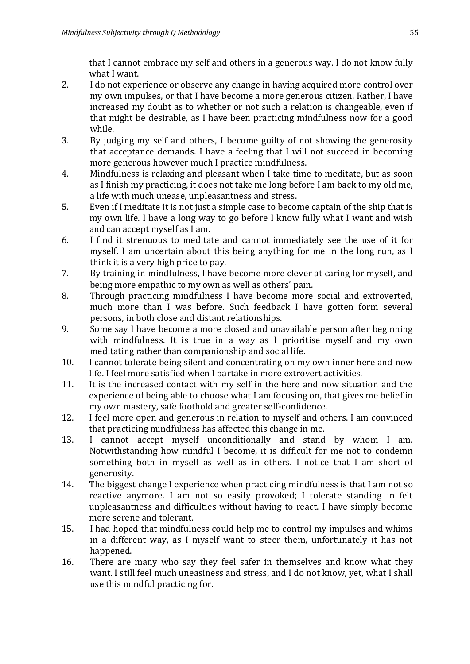that I cannot embrace my self and others in a generous way. I do not know fully what I want.

- 2. I do not experience or observe any change in having acquired more control over my own impulses, or that I have become a more generous citizen. Rather, I have increased my doubt as to whether or not such a relation is changeable, even if that might be desirable, as I have been practicing mindfulness now for a good while.
- 3. By judging my self and others, I become guilty of not showing the generosity that acceptance demands. I have a feeling that I will not succeed in becoming more generous however much I practice mindfulness.
- 4. Mindfulness is relaxing and pleasant when I take time to meditate, but as soon as I finish my practicing, it does not take me long before I am back to my old me, a life with much unease, unpleasantness and stress.
- 5. Even if I meditate it is not just a simple case to become captain of the ship that is my own life. I have a long way to go before I know fully what I want and wish and can accept myself as I am.
- 6. I find it strenuous to meditate and cannot immediately see the use of it for myself. I am uncertain about this being anything for me in the long run, as I think it is a very high price to pay.
- 7. By training in mindfulness, I have become more clever at caring for myself, and being more empathic to my own as well as others' pain.
- 8. Through practicing mindfulness I have become more social and extroverted, much more than I was before. Such feedback I have gotten form several persons, in both close and distant relationships.
- 9. Some say I have become a more closed and unavailable person after beginning with mindfulness. It is true in a way as I prioritise myself and my own meditating rather than companionship and social life.
- 10. I cannot tolerate being silent and concentrating on my own inner here and now life. I feel more satisfied when I partake in more extrovert activities.
- 11. It is the increased contact with my self in the here and now situation and the experience of being able to choose what I am focusing on, that gives me belief in my own mastery, safe foothold and greater self-confidence.
- 12. I feel more open and generous in relation to myself and others. I am convinced that practicing mindfulness has affected this change in me.
- 13. I cannot accept myself unconditionally and stand by whom I am. Notwithstanding how mindful I become, it is difficult for me not to condemn something both in myself as well as in others. I notice that I am short of generosity.
- 14. The biggest change I experience when practicing mindfulness is that I am not so reactive anymore. I am not so easily provoked; I tolerate standing in felt unpleasantness and difficulties without having to react. I have simply become more serene and tolerant.
- 15. I had hoped that mindfulness could help me to control my impulses and whims in a different way, as I myself want to steer them, unfortunately it has not happened.
- 16. There are many who say they feel safer in themselves and know what they want. I still feel much uneasiness and stress, and I do not know, yet, what I shall use this mindful practicing for.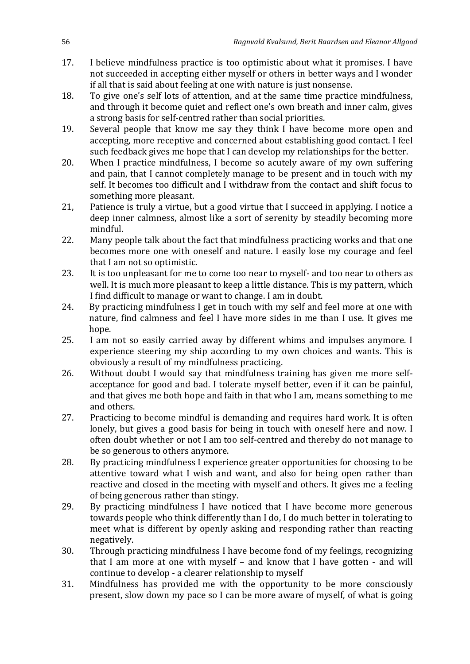- 17. I believe mindfulness practice is too optimistic about what it promises. I have not succeeded in accepting either myself or others in better ways and I wonder if all that is said about feeling at one with nature is just nonsense.
- 18. To give one's self lots of attention, and at the same time practice mindfulness, and through it become quiet and reflect one's own breath and inner calm, gives a strong basis for self-centred rather than social priorities.
- 19. Several people that know me say they think I have become more open and accepting, more receptive and concerned about establishing good contact. I feel such feedback gives me hope that I can develop my relationships for the better.
- 20. When I practice mindfulness, I become so acutely aware of my own suffering and pain, that I cannot completely manage to be present and in touch with my self. It becomes too difficult and I withdraw from the contact and shift focus to something more pleasant.
- 21, Patience is truly a virtue, but a good virtue that I succeed in applying. I notice a deep inner calmness, almost like a sort of serenity by steadily becoming more mindful.
- 22. Many people talk about the fact that mindfulness practicing works and that one becomes more one with oneself and nature. I easily lose my courage and feel that I am not so optimistic.
- 23. It is too unpleasant for me to come too near to myself- and too near to others as well. It is much more pleasant to keep a little distance. This is my pattern, which I find difficult to manage or want to change. I am in doubt.
- 24. By practicing mindfulness I get in touch with my self and feel more at one with nature, find calmness and feel I have more sides in me than I use. It gives me hope.
- 25. I am not so easily carried away by different whims and impulses anymore. I experience steering my ship according to my own choices and wants. This is obviously a result of my mindfulness practicing.
- 26. Without doubt I would say that mindfulness training has given me more selfacceptance for good and bad. I tolerate myself better, even if it can be painful, and that gives me both hope and faith in that who I am, means something to me and others.
- 27. Practicing to become mindful is demanding and requires hard work. It is often lonely, but gives a good basis for being in touch with oneself here and now. I often doubt whether or not I am too self-centred and thereby do not manage to be so generous to others anymore.
- 28. By practicing mindfulness I experience greater opportunities for choosing to be attentive toward what I wish and want, and also for being open rather than reactive and closed in the meeting with myself and others. It gives me a feeling of being generous rather than stingy.
- 29. By practicing mindfulness I have noticed that I have become more generous towards people who think differently than I do, I do much better in tolerating to meet what is different by openly asking and responding rather than reacting negatively.
- 30. Through practicing mindfulness I have become fond of my feelings, recognizing that I am more at one with myself – and know that I have gotten - and will continue to develop - a clearer relationship to myself
- 31. Mindfulness has provided me with the opportunity to be more consciously present, slow down my pace so I can be more aware of myself, of what is going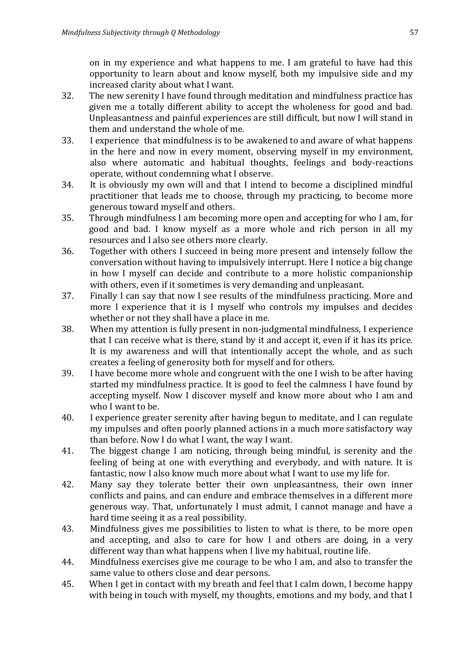on in my experience and what happens to me. I am grateful to have had this opportunity to learn about and know myself, both my impulsive side and my increased clarity about what I want.

- 32. The new serenity I have found through meditation and mindfulness practice has given me a totally different ability to accept the wholeness for good and bad. Unpleasantness and painful experiences are still difficult, but now I will stand in them and understand the whole of me.
- 33. I experience that mindfulness is to be awakened to and aware of what happens in the here and now in every moment, observing myself in my environment, also where automatic and habitual thoughts, feelings and body-reactions operate, without condemning what I observe.
- 34. It is obviously my own will and that I intend to become a disciplined mindful practitioner that leads me to choose, through my practicing, to become more generous toward myself and others.
- 35. Through mindfulness I am becoming more open and accepting for who I am, for good and bad. I know myself as a more whole and rich person in all my resources and I also see others more clearly.
- 36. Together with others I succeed in being more present and intensely follow the conversation without having to impulsively interrupt. Here I notice a big change in how I myself can decide and contribute to a more holistic companionship with others, even if it sometimes is very demanding and unpleasant.
- 37. Finally I can say that now I see results of the mindfulness practicing. More and more I experience that it is I myself who controls my impulses and decides whether or not they shall have a place in me.
- 38. When my attention is fully present in non-judgmental mindfulness, I experience that I can receive what is there, stand by it and accept it, even if it has its price. It is my awareness and will that intentionally accept the whole, and as such creates a feeling of generosity both for myself and for others.
- 39. I have become more whole and congruent with the one I wish to be after having started my mindfulness practice. It is good to feel the calmness I have found by accepting myself. Now I discover myself and know more about who I am and who I want to be.
- 40. I experience greater serenity after having begun to meditate, and I can regulate my impulses and often poorly planned actions in a much more satisfactory way than before. Now I do what I want, the way I want.
- 41. The biggest change I am noticing, through being mindful, is serenity and the feeling of being at one with everything and everybody, and with nature. It is fantastic, now I also know much more about what I want to use my life for.
- 42. Many say they tolerate better their own unpleasantness, their own inner conflicts and pains, and can endure and embrace themselves in a different more generous way. That, unfortunately I must admit, I cannot manage and have a hard time seeing it as a real possibility.
- 43. Mindfulness gives me possibilities to listen to what is there, to be more open and accepting, and also to care for how I and others are doing, in a very different way than what happens when I live my habitual, routine life.
- 44. Mindfulness exercises give me courage to be who I am, and also to transfer the same value to others close and dear persons.
- 45. When I get in contact with my breath and feel that I calm down, I become happy with being in touch with myself, my thoughts, emotions and my body, and that I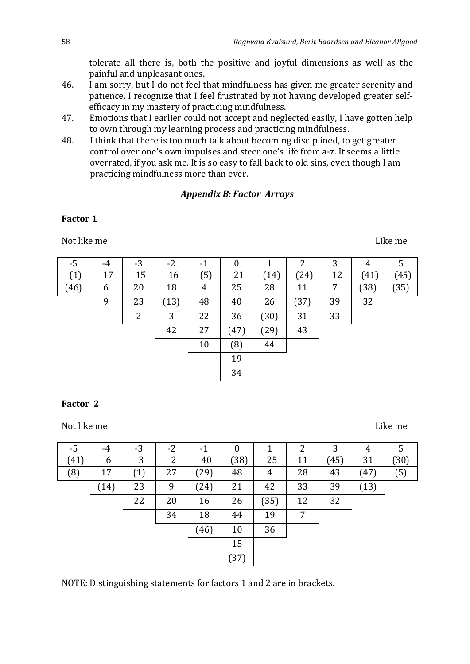tolerate all there is, both the positive and joyful dimensions as well as the painful and unpleasant ones.

- 46. I am sorry, but I do not feel that mindfulness has given me greater serenity and patience. I recognize that I feel frustrated by not having developed greater selfefficacy in my mastery of practicing mindfulness.
- 47. Emotions that I earlier could not accept and neglected easily, I have gotten help to own through my learning process and practicing mindfulness.
- 48. I think that there is too much talk about becoming disciplined, to get greater control over one's own impulses and steer one's life from a-z. It seems a little overrated, if you ask me. It is so easy to fall back to old sins, even though I am practicing mindfulness more than ever.

# *Appendix B: Factor Arrays*

## **Factor 1**

Not like me Like me Like me Like me Like me Like me Like me Like me Like me Like me Like me Like me Like me Li

| -5   | -4 | $-3$ | $-2$ | $-1$ | 0    |      | າ<br>∠ | 3  | 4    | 5    |
|------|----|------|------|------|------|------|--------|----|------|------|
| (1)  | 17 | 15   | 16   | (5)  | 21   | (14) | (24)   | 12 | (41) | (45) |
| (46) | 6  | 20   | 18   | 4    | 25   | 28   | 11     | 7  | (38) | (35) |
|      | 9  | 23   | (13) | 48   | 40   | 26   | (37)   | 39 | 32   |      |
|      |    | 2    | 3    | 22   | 36   | (30) | 31     | 33 |      |      |
|      |    |      | 42   | 27   | (47) | (29) | 43     |    |      |      |
|      |    |      |      | 10   | (8)  | 44   |        |    |      |      |
|      |    |      |      |      | 19   |      |        |    |      |      |
|      |    |      |      |      | 34   |      |        |    |      |      |

#### **Factor 2**

Not like me Like me Like me Like me Like me Like me Like me Like me Like me Like me Like me Like me Like me Li

| -5   | $-4$ | $-3$ | $-2$ | $-1$ | 0    |      | 2  | 3    | 4    | 5    |
|------|------|------|------|------|------|------|----|------|------|------|
| (41) | 6    | 3    | 2    | 40   | (38) | 25   | 11 | (45) | 31   | (30) |
| (8)  | 17   | (1)  | 27   | (29) | 48   | 4    | 28 | 43   | (47) | (5)  |
|      | (14) | 23   | 9    | (24) | 21   | 42   | 33 | 39   | (13) |      |
|      |      | 22   | 20   | 16   | 26   | (35) | 12 | 32   |      |      |
|      |      |      | 34   | 18   | 44   | 19   | 7  |      |      |      |
|      |      |      |      | (46) | 10   | 36   |    |      |      |      |
|      |      |      |      |      | 15   |      |    |      |      |      |
|      |      |      |      |      | (37) |      |    |      |      |      |

NOTE: Distinguishing statements for factors 1 and 2 are in brackets.